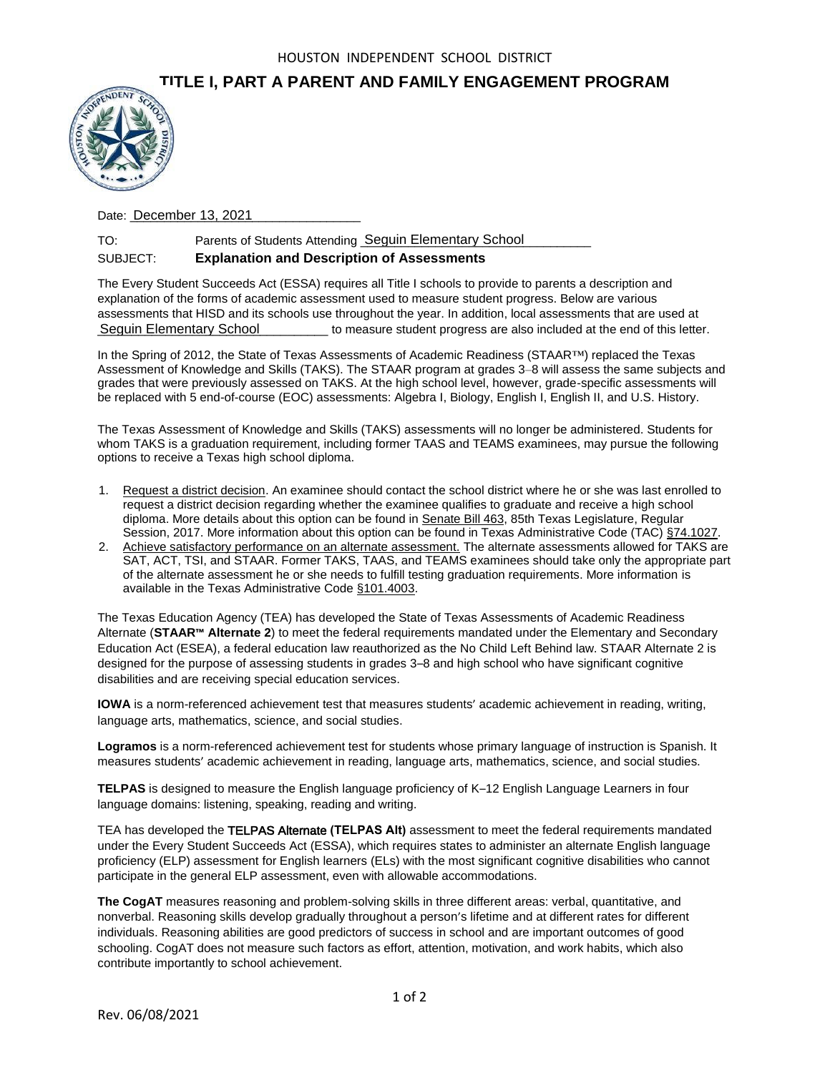## **TITLE I, PART A PARENT AND FAMILY ENGAGEMENT PROGRAM**



Date: **December 13, 2021** 

## TO: Parents of Students Attending Seguin Elementary School Farmentary School SUBJECT: **Explanation and Description of Assessments**

The Every Student Succeeds Act (ESSA) requires all Title I schools to provide to parents a description and explanation of the forms of academic assessment used to measure student progress. Below are various assessments that HISD and its schools use throughout the year. In addition, local assessments that are used at \_\_\_\_\_\_\_\_\_\_\_\_\_\_\_\_\_\_\_\_\_\_\_\_\_\_\_\_\_\_\_\_\_\_ to measure student progress are also included at the end of this letter. Seguin Elementary School

In the Spring of 2012, the State of Texas Assessments of Academic Readiness (STAAR™) replaced the Texas Assessment of Knowledge and Skills (TAKS). The STAAR program at grades 3–8 will assess the same subjects and grades that were previously assessed on TAKS. At the high school level, however, grade-specific assessments will be replaced with 5 end-of-course (EOC) assessments: Algebra I, Biology, English I, English II, and U.S. History.

The Texas Assessment of Knowledge and Skills (TAKS) assessments will no longer be administered. Students for whom TAKS is a graduation requirement, including former TAAS and TEAMS examinees, may pursue the following options to receive a Texas high school diploma.

- 1. Request a district decision. An examinee should contact the school district where he or she was last enrolled to request a district decision regarding whether the examinee qualifies to graduate and receive a high school diploma. More details about this option can be found in Senate Bill 463, 85th Texas Legislature, Regular Session, 2017. More information about this option can be found in Texas Administrative Code (TAC) §74.1027.
- 2. Achieve satisfactory performance on an alternate assessment. The alternate assessments allowed for TAKS are SAT, ACT, TSI, and STAAR. Former TAKS, TAAS, and TEAMS examinees should take only the appropriate part of the alternate assessment he or she needs to fulfill testing graduation requirements. More information is available in the Texas Administrative Code §101.4003.

The Texas Education Agency (TEA) has developed the State of Texas Assessments of Academic Readiness Alternate (**STAAR™ Alternate 2**) to meet the federal requirements mandated under the Elementary and Secondary Education Act (ESEA), a federal education law reauthorized as the No Child Left Behind law. STAAR Alternate 2 is designed for the purpose of assessing students in grades 3–8 and high school who have significant cognitive disabilities and are receiving special education services.

**IOWA** is a norm-referenced achievement test that measures students' academic achievement in reading, writing, language arts, mathematics, science, and social studies.

**Logramos** is a norm-referenced achievement test for students whose primary language of instruction is Spanish. It measures students' academic achievement in reading, language arts, mathematics, science, and social studies.

**TELPAS** is designed to measure the English language proficiency of K–12 English Language Learners in four language domains: listening, speaking, reading and writing.

TEA has developed the TELPAS Alternate **(TELPAS Alt)** assessment to meet the federal requirements mandated under the Every Student Succeeds Act (ESSA), which requires states to administer an alternate English language proficiency (ELP) assessment for English learners (ELs) with the most significant cognitive disabilities who cannot participate in the general ELP assessment, even with allowable accommodations.

**The CogAT** measures reasoning and problem-solving skills in three different areas: verbal, quantitative, and nonverbal. Reasoning skills develop gradually throughout a person's lifetime and at different rates for different individuals. Reasoning abilities are good predictors of success in school and are important outcomes of good schooling. CogAT does not measure such factors as effort, attention, motivation, and work habits, which also contribute importantly to school achievement.